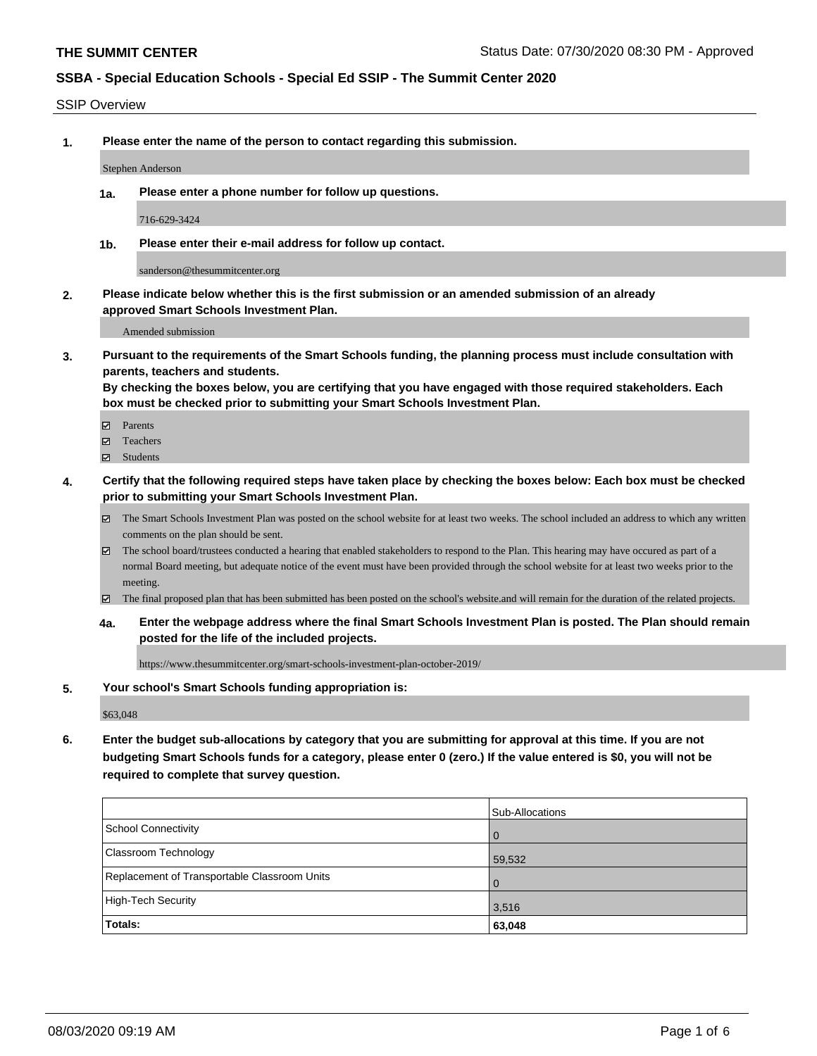### SSIP Overview

**1. Please enter the name of the person to contact regarding this submission.**

Stephen Anderson

**1a. Please enter a phone number for follow up questions.**

716-629-3424

**1b. Please enter their e-mail address for follow up contact.**

sanderson@thesummitcenter.org

**2. Please indicate below whether this is the first submission or an amended submission of an already approved Smart Schools Investment Plan.**

Amended submission

**3. Pursuant to the requirements of the Smart Schools funding, the planning process must include consultation with parents, teachers and students.**

**By checking the boxes below, you are certifying that you have engaged with those required stakeholders. Each box must be checked prior to submitting your Smart Schools Investment Plan.**

- Parents
- Teachers
- Students
- **4. Certify that the following required steps have taken place by checking the boxes below: Each box must be checked prior to submitting your Smart Schools Investment Plan.**
	- The Smart Schools Investment Plan was posted on the school website for at least two weeks. The school included an address to which any written comments on the plan should be sent.
	- The school board/trustees conducted a hearing that enabled stakeholders to respond to the Plan. This hearing may have occured as part of a normal Board meeting, but adequate notice of the event must have been provided through the school website for at least two weeks prior to the meeting.
	- The final proposed plan that has been submitted has been posted on the school's website.and will remain for the duration of the related projects.
	- **4a. Enter the webpage address where the final Smart Schools Investment Plan is posted. The Plan should remain posted for the life of the included projects.**

https://www.thesummitcenter.org/smart-schools-investment-plan-october-2019/

### **5. Your school's Smart Schools funding appropriation is:**

\$63,048

**6. Enter the budget sub-allocations by category that you are submitting for approval at this time. If you are not budgeting Smart Schools funds for a category, please enter 0 (zero.) If the value entered is \$0, you will not be required to complete that survey question.**

|                                              | <b>Sub-Allocations</b> |
|----------------------------------------------|------------------------|
| School Connectivity                          | $\overline{0}$         |
| <b>Classroom Technology</b>                  | 59,532                 |
| Replacement of Transportable Classroom Units | $\overline{0}$         |
| High-Tech Security                           | 3,516                  |
| Totals:                                      | 63,048                 |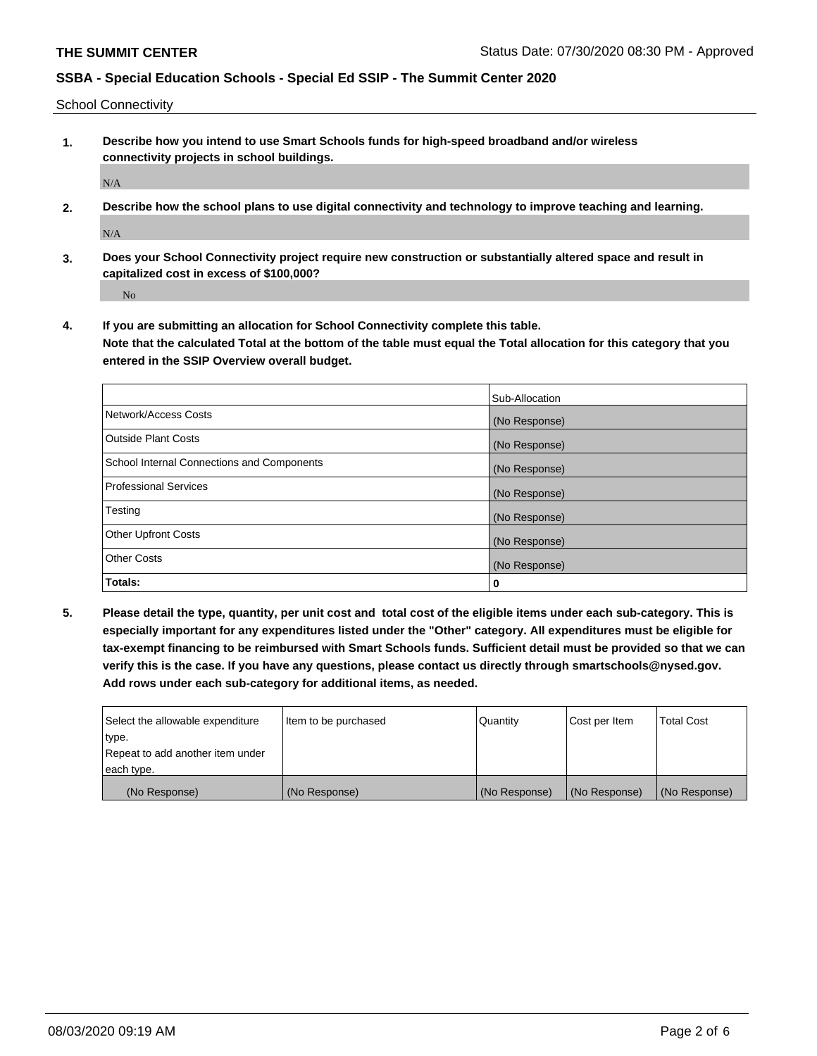School Connectivity

**1. Describe how you intend to use Smart Schools funds for high-speed broadband and/or wireless connectivity projects in school buildings.**

N/A

**2. Describe how the school plans to use digital connectivity and technology to improve teaching and learning.**

N/A

**3. Does your School Connectivity project require new construction or substantially altered space and result in capitalized cost in excess of \$100,000?**

No

**4. If you are submitting an allocation for School Connectivity complete this table. Note that the calculated Total at the bottom of the table must equal the Total allocation for this category that you entered in the SSIP Overview overall budget.** 

|                                            | Sub-Allocation |
|--------------------------------------------|----------------|
| Network/Access Costs                       | (No Response)  |
| <b>Outside Plant Costs</b>                 | (No Response)  |
| School Internal Connections and Components | (No Response)  |
| <b>Professional Services</b>               | (No Response)  |
| Testing                                    | (No Response)  |
| <b>Other Upfront Costs</b>                 | (No Response)  |
| <b>Other Costs</b>                         | (No Response)  |
| Totals:                                    | 0              |

**5. Please detail the type, quantity, per unit cost and total cost of the eligible items under each sub-category. This is especially important for any expenditures listed under the "Other" category. All expenditures must be eligible for tax-exempt financing to be reimbursed with Smart Schools funds. Sufficient detail must be provided so that we can verify this is the case. If you have any questions, please contact us directly through smartschools@nysed.gov. Add rows under each sub-category for additional items, as needed.**

| each type.<br>(No Response)      | (No Response)          | (No Response) | (No Response) | (No Response)     |
|----------------------------------|------------------------|---------------|---------------|-------------------|
|                                  |                        |               |               |                   |
| Repeat to add another item under |                        |               |               |                   |
| ∣type.                           |                        |               |               |                   |
| Select the allowable expenditure | I Item to be purchased | Quantity      | Cost per Item | <b>Total Cost</b> |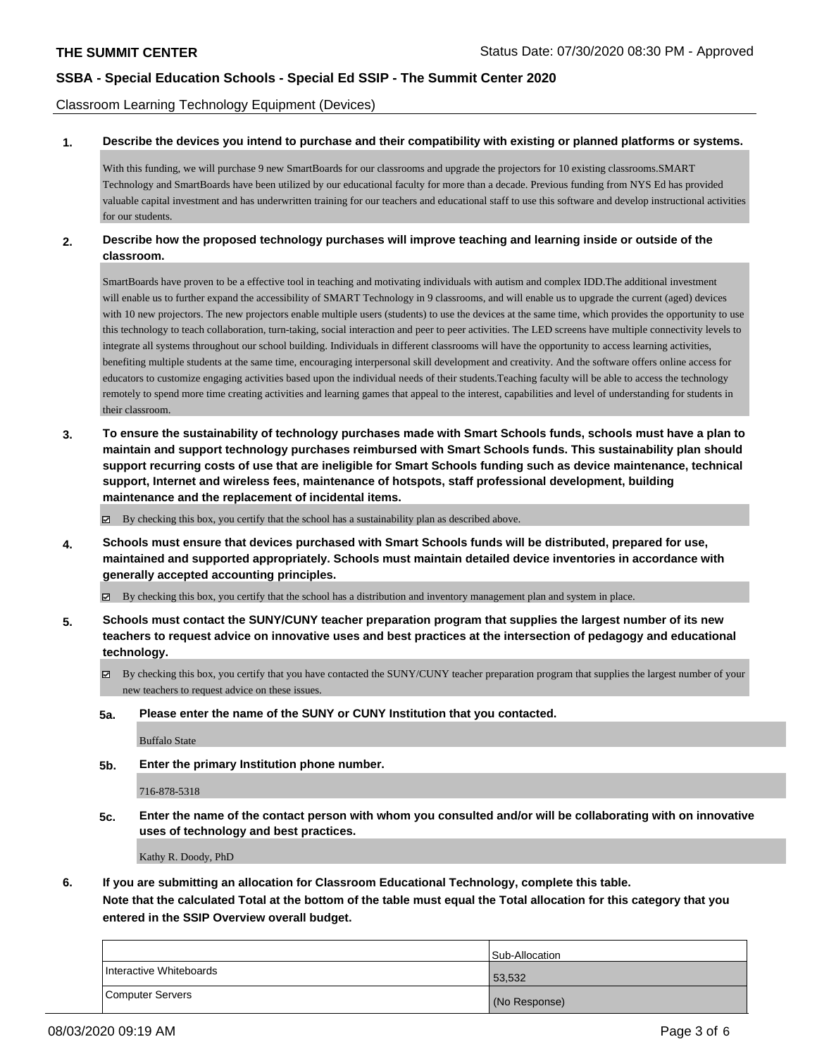Classroom Learning Technology Equipment (Devices)

#### **1. Describe the devices you intend to purchase and their compatibility with existing or planned platforms or systems.**

With this funding, we will purchase 9 new SmartBoards for our classrooms and upgrade the projectors for 10 existing classrooms.SMART Technology and SmartBoards have been utilized by our educational faculty for more than a decade. Previous funding from NYS Ed has provided valuable capital investment and has underwritten training for our teachers and educational staff to use this software and develop instructional activities for our students

### **2. Describe how the proposed technology purchases will improve teaching and learning inside or outside of the classroom.**

SmartBoards have proven to be a effective tool in teaching and motivating individuals with autism and complex IDD.The additional investment will enable us to further expand the accessibility of SMART Technology in 9 classrooms, and will enable us to upgrade the current (aged) devices with 10 new projectors. The new projectors enable multiple users (students) to use the devices at the same time, which provides the opportunity to use this technology to teach collaboration, turn-taking, social interaction and peer to peer activities. The LED screens have multiple connectivity levels to integrate all systems throughout our school building. Individuals in different classrooms will have the opportunity to access learning activities, benefiting multiple students at the same time, encouraging interpersonal skill development and creativity. And the software offers online access for educators to customize engaging activities based upon the individual needs of their students.Teaching faculty will be able to access the technology remotely to spend more time creating activities and learning games that appeal to the interest, capabilities and level of understanding for students in their classroom.

**3. To ensure the sustainability of technology purchases made with Smart Schools funds, schools must have a plan to maintain and support technology purchases reimbursed with Smart Schools funds. This sustainability plan should support recurring costs of use that are ineligible for Smart Schools funding such as device maintenance, technical support, Internet and wireless fees, maintenance of hotspots, staff professional development, building maintenance and the replacement of incidental items.**

By checking this box, you certify that the school has a sustainability plan as described above.

**4. Schools must ensure that devices purchased with Smart Schools funds will be distributed, prepared for use, maintained and supported appropriately. Schools must maintain detailed device inventories in accordance with generally accepted accounting principles.**

By checking this box, you certify that the school has a distribution and inventory management plan and system in place.

- **5. Schools must contact the SUNY/CUNY teacher preparation program that supplies the largest number of its new teachers to request advice on innovative uses and best practices at the intersection of pedagogy and educational technology.**
	- By checking this box, you certify that you have contacted the SUNY/CUNY teacher preparation program that supplies the largest number of your new teachers to request advice on these issues.
	- **5a. Please enter the name of the SUNY or CUNY Institution that you contacted.**

Buffalo State

**5b. Enter the primary Institution phone number.**

716-878-5318

**5c. Enter the name of the contact person with whom you consulted and/or will be collaborating with on innovative uses of technology and best practices.**

Kathy R. Doody, PhD

**6. If you are submitting an allocation for Classroom Educational Technology, complete this table.**

**Note that the calculated Total at the bottom of the table must equal the Total allocation for this category that you entered in the SSIP Overview overall budget.**

|                         | Sub-Allocation |
|-------------------------|----------------|
| Interactive Whiteboards | 53,532         |
| Computer Servers        | (No Response)  |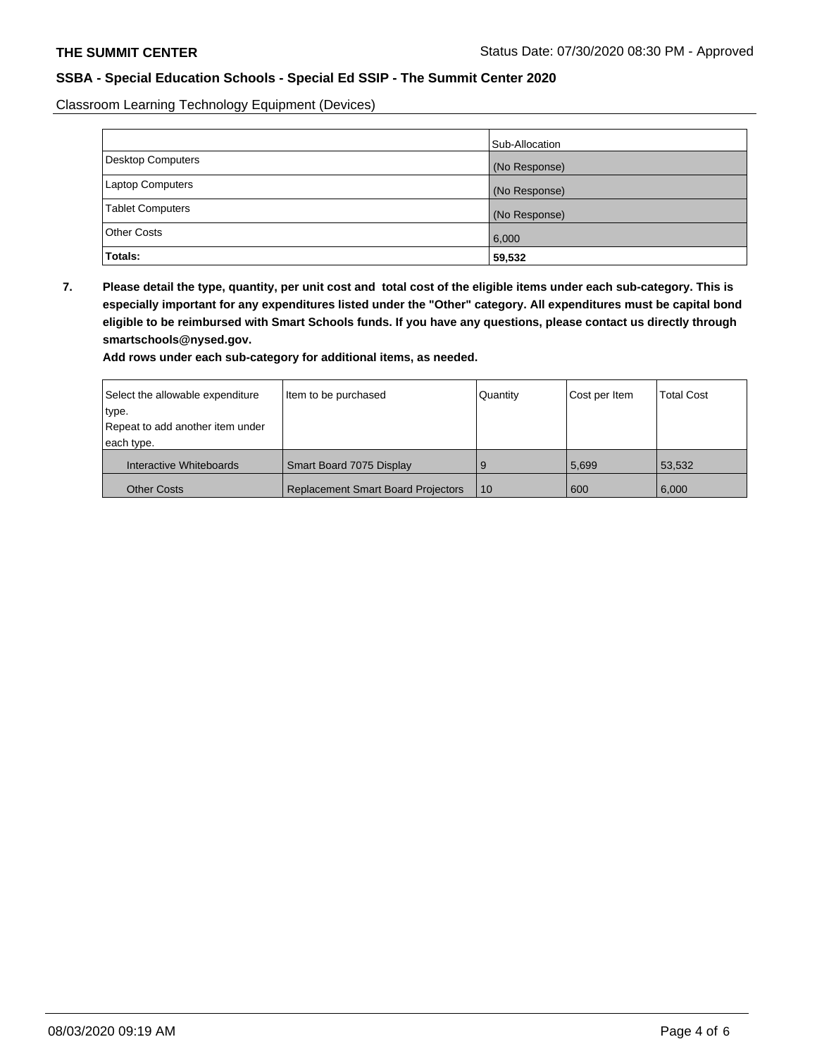Classroom Learning Technology Equipment (Devices)

|                          | Sub-Allocation |
|--------------------------|----------------|
| <b>Desktop Computers</b> | (No Response)  |
| Laptop Computers         | (No Response)  |
| <b>Tablet Computers</b>  | (No Response)  |
| Other Costs              | 6,000          |
| Totals:                  | 59,532         |

**7. Please detail the type, quantity, per unit cost and total cost of the eligible items under each sub-category. This is especially important for any expenditures listed under the "Other" category. All expenditures must be capital bond eligible to be reimbursed with Smart Schools funds. If you have any questions, please contact us directly through smartschools@nysed.gov.**

**Add rows under each sub-category for additional items, as needed.**

| Select the allowable expenditure | Item to be purchased                      | Quantity | Cost per Item | <b>Total Cost</b> |
|----------------------------------|-------------------------------------------|----------|---------------|-------------------|
| 'type.                           |                                           |          |               |                   |
| Repeat to add another item under |                                           |          |               |                   |
| each type.                       |                                           |          |               |                   |
| Interactive Whiteboards          | Smart Board 7075 Display                  | 9        | 5,699         | 53,532            |
| <b>Other Costs</b>               | <b>Replacement Smart Board Projectors</b> | 10       | 600           | 6,000             |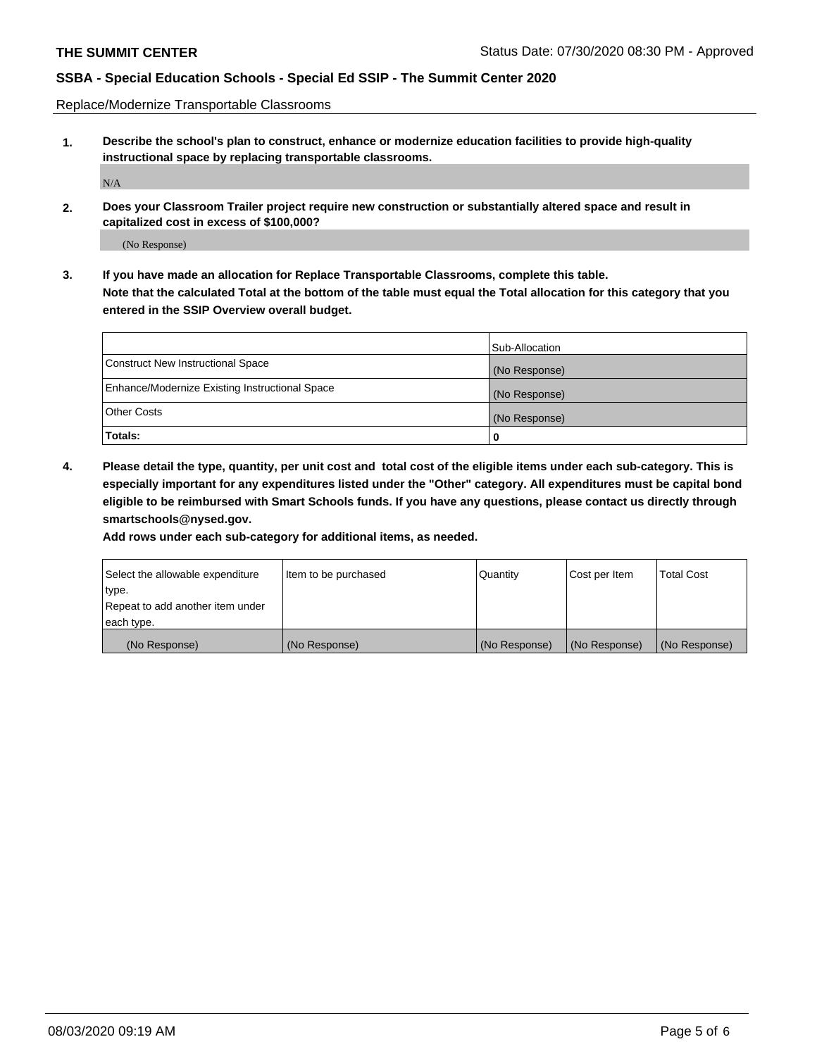Replace/Modernize Transportable Classrooms

**1. Describe the school's plan to construct, enhance or modernize education facilities to provide high-quality instructional space by replacing transportable classrooms.**

N/A

**2. Does your Classroom Trailer project require new construction or substantially altered space and result in capitalized cost in excess of \$100,000?**

(No Response)

**3. If you have made an allocation for Replace Transportable Classrooms, complete this table. Note that the calculated Total at the bottom of the table must equal the Total allocation for this category that you entered in the SSIP Overview overall budget.**

|                                                | Sub-Allocation |
|------------------------------------------------|----------------|
| Construct New Instructional Space              | (No Response)  |
| Enhance/Modernize Existing Instructional Space | (No Response)  |
| Other Costs                                    | (No Response)  |
| Totals:                                        | 0              |

**4. Please detail the type, quantity, per unit cost and total cost of the eligible items under each sub-category. This is especially important for any expenditures listed under the "Other" category. All expenditures must be capital bond eligible to be reimbursed with Smart Schools funds. If you have any questions, please contact us directly through smartschools@nysed.gov.**

**Add rows under each sub-category for additional items, as needed.**

| Select the allowable expenditure | lltem to be purchased | Quantity      | Cost per Item | <b>Total Cost</b> |
|----------------------------------|-----------------------|---------------|---------------|-------------------|
| type.                            |                       |               |               |                   |
| Repeat to add another item under |                       |               |               |                   |
| each type.                       |                       |               |               |                   |
| (No Response)                    | (No Response)         | (No Response) | (No Response) | (No Response)     |